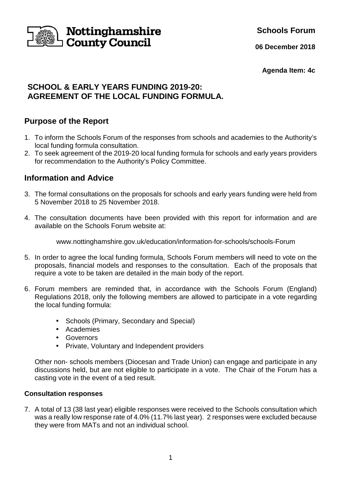

**Schools Forum**

**06 December 2018**

**Agenda Item: 4c**

# **SCHOOL & EARLY YEARS FUNDING 2019-20: AGREEMENT OF THE LOCAL FUNDING FORMULA.**

## **Purpose of the Report**

- 1. To inform the Schools Forum of the responses from schools and academies to the Authority's local funding formula consultation.
- 2. To seek agreement of the 2019-20 local funding formula for schools and early years providers for recommendation to the Authority's Policy Committee.

## **Information and Advice**

- 3. The formal consultations on the proposals for schools and early years funding were held from 5 November 2018 to 25 November 2018.
- 4. The consultation documents have been provided with this report for information and are available on the Schools Forum website at:

www.nottinghamshire.gov.uk/education/information-for-schools/schools-Forum

- 5. In order to agree the local funding formula, Schools Forum members will need to vote on the proposals, financial models and responses to the consultation. Each of the proposals that require a vote to be taken are detailed in the main body of the report.
- 6. Forum members are reminded that, in accordance with the Schools Forum (England) Regulations 2018, only the following members are allowed to participate in a vote regarding the local funding formula:
	- Schools (Primary, Secondary and Special)
	- Academies
	- Governors
	- Private, Voluntary and Independent providers

 Other non- schools members (Diocesan and Trade Union) can engage and participate in any discussions held, but are not eligible to participate in a vote. The Chair of the Forum has a casting vote in the event of a tied result.

### **Consultation responses**

7. A total of 13 (38 last year) eligible responses were received to the Schools consultation which was a really low response rate of 4.0% (11.7% last year). 2 responses were excluded because they were from MATs and not an individual school.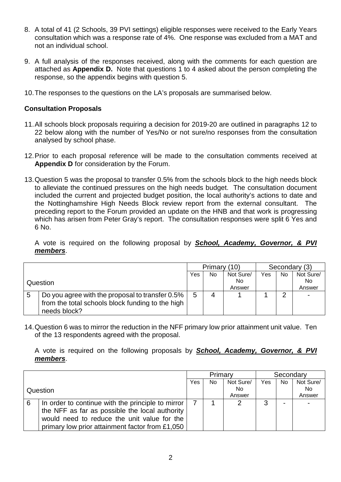- 8. A total of 41 (2 Schools, 39 PVI settings) eligible responses were received to the Early Years consultation which was a response rate of 4%. One response was excluded from a MAT and not an individual school.
- 9. A full analysis of the responses received, along with the comments for each question are attached as **Appendix D.** Note that questions 1 to 4 asked about the person completing the response, so the appendix begins with question 5.
- 10. The responses to the questions on the LA's proposals are summarised below.

#### **Consultation Proposals**

- 11. All schools block proposals requiring a decision for 2019-20 are outlined in paragraphs 12 to 22 below along with the number of Yes/No or not sure/no responses from the consultation analysed by school phase.
- 12. Prior to each proposal reference will be made to the consultation comments received at **Appendix D** for consideration by the Forum.
- 13. Question 5 was the proposal to transfer 0.5% from the schools block to the high needs block to alleviate the continued pressures on the high needs budget. The consultation document included the current and projected budget position, the local authority's actions to date and the Nottinghamshire High Needs Block review report from the external consultant. The preceding report to the Forum provided an update on the HNB and that work is progressing which has arisen from Peter Gray's report. The consultation responses were split 6 Yes and 6 No.

A vote is required on the following proposal by **School, Academy, Governor, & PVI members**.

|  |                                                                                                     | Primary (10) |                | Secondary (3) |     |            |                |
|--|-----------------------------------------------------------------------------------------------------|--------------|----------------|---------------|-----|------------|----------------|
|  |                                                                                                     | Yes          | N <sub>0</sub> | Not Sure/     | Yes | No.        | Not Sure/      |
|  | Question                                                                                            |              |                | No            |     |            | No.            |
|  |                                                                                                     |              |                | Answer        |     |            | Answer         |
|  | Do you agree with the proposal to transfer 0.5%<br>from the total schools block funding to the high | 5            | 4              |               |     | $\sqrt{2}$ | $\blacksquare$ |
|  | needs block?                                                                                        |              |                |               |     |            |                |

14. Question 6 was to mirror the reduction in the NFF primary low prior attainment unit value. Ten of the 13 respondents agreed with the proposal.

A vote is required on the following proposals by **School, Academy, Governor, & PVI members**.

|          |                                                   | Primary |     |           | Secondary |     |                |
|----------|---------------------------------------------------|---------|-----|-----------|-----------|-----|----------------|
|          |                                                   | Yes     | No. | Not Sure/ | Yes       | No. | Not Sure/      |
| Question |                                                   |         |     | No.       |           |     | N <sub>o</sub> |
|          |                                                   |         |     | Answer    |           |     | Answer         |
| 6        | In order to continue with the principle to mirror |         |     |           | 3         | -   |                |
|          | the NFF as far as possible the local authority    |         |     |           |           |     |                |
|          | would need to reduce the unit value for the       |         |     |           |           |     |                |
|          | primary low prior attainment factor from £1,050   |         |     |           |           |     |                |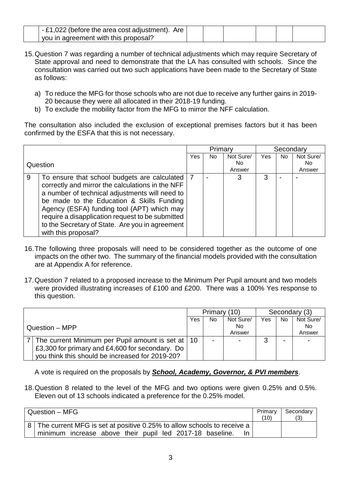| $_1$ - £1,022 (before the area cost adjustment). Are $\parallel$ |  |  |  |
|------------------------------------------------------------------|--|--|--|
| you in agreement with this proposal?                             |  |  |  |

- 15. Question 7 was regarding a number of technical adjustments which may require Secretary of State approval and need to demonstrate that the LA has consulted with schools. Since the consultation was carried out two such applications have been made to the Secretary of State as follows:
	- a) To reduce the MFG for those schools who are not due to receive any further gains in 2019- 20 because they were all allocated in their 2018-19 funding.
	- b) To exclude the mobility factor from the MFG to mirror the NFF calculation.

The consultation also included the exclusion of exceptional premises factors but it has been confirmed by the ESFA that this is not necessary.

|   |                                                  | Primary |    | Secondary |     |     |           |
|---|--------------------------------------------------|---------|----|-----------|-----|-----|-----------|
|   |                                                  | Yes     | No | Not Sure/ | Yes | No. | Not Sure/ |
|   | Question                                         |         |    | No.       |     |     | No.       |
|   |                                                  |         |    | Answer    |     |     | Answer    |
| 9 | To ensure that school budgets are calculated     |         |    |           | 3   |     |           |
|   | correctly and mirror the calculations in the NFF |         |    |           |     |     |           |
|   | a number of technical adjustments will need to   |         |    |           |     |     |           |
|   | be made to the Education & Skills Funding        |         |    |           |     |     |           |
|   | Agency (ESFA) funding tool (APT) which may       |         |    |           |     |     |           |
|   | require a disapplication request to be submitted |         |    |           |     |     |           |
|   | to the Secretary of State. Are you in agreement  |         |    |           |     |     |           |
|   | with this proposal?                              |         |    |           |     |     |           |

- 16. The following three proposals will need to be considered together as the outcome of one impacts on the other two. The summary of the financial models provided with the consultation are at Appendix A for reference.
- 17. Question 7 related to a proposed increase to the Minimum Per Pupil amount and two models were provided illustrating increases of £100 and £200. There was a 100% Yes response to this question.

|                                                     | Primary (10) |    | Secondary (3) |        |                          |                |
|-----------------------------------------------------|--------------|----|---------------|--------|--------------------------|----------------|
|                                                     | Yes          | No | Not Sure/     | Yes    | <b>No</b>                | Not Sure/      |
| Question - MPP                                      |              |    | No            |        |                          | No             |
|                                                     |              |    | Answer        |        |                          | Answer         |
| The current Minimum per Pupil amount is set at   10 |              |    |               | ◠<br>ື | $\overline{\phantom{0}}$ | $\blacksquare$ |
| £3,300 for primary and £4,600 for secondary. Do     |              |    |               |        |                          |                |
| you think this should be increased for 2019-20?     |              |    |               |        |                          |                |

A vote is required on the proposals by **School, Academy, Governor, & PVI members**.

18. Question 8 related to the level of the MFG and two options were given 0.25% and 0.5%. Eleven out of 13 schools indicated a preference for the 0.25% model.

| Question - MFG                                                                                                                       | Primary<br>10) | Secondary<br>(3) |
|--------------------------------------------------------------------------------------------------------------------------------------|----------------|------------------|
| 8 The current MFG is set at positive 0.25% to allow schools to receive a<br>minimum increase above their pupil led 2017-18 baseline. |                |                  |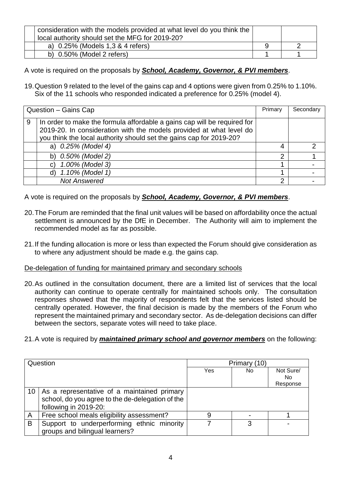| consideration with the models provided at what level do you think the<br>local authority should set the MFG for 2019-20? |  |
|--------------------------------------------------------------------------------------------------------------------------|--|
| a) 0.25% (Models 1,3 & 4 refers)                                                                                         |  |
| b) $0.50\%$ (Model 2 refers)                                                                                             |  |

A vote is required on the proposals by **School, Academy, Governor, & PVI members**.

19. Question 9 related to the level of the gains cap and 4 options were given from 0.25% to 1.10%. Six of the 11 schools who responded indicated a preference for 0.25% (model 4).

|   | Question - Gains Cap                                                                                                                                                                                                   | Primary | Secondary |
|---|------------------------------------------------------------------------------------------------------------------------------------------------------------------------------------------------------------------------|---------|-----------|
| 9 | In order to make the formula affordable a gains cap will be required for<br>2019-20. In consideration with the models provided at what level do<br>you think the local authority should set the gains cap for 2019-20? |         |           |
|   | a) 0.25% (Model 4)                                                                                                                                                                                                     | 4       |           |
|   | b) 0.50% (Model 2)                                                                                                                                                                                                     | っ       |           |
|   | 1.00% (Model 3)                                                                                                                                                                                                        |         |           |
|   | 1.10% (Model 1)                                                                                                                                                                                                        |         |           |
|   | <b>Not Answered</b>                                                                                                                                                                                                    | 2       |           |

A vote is required on the proposals by **School, Academy, Governor, & PVI members**.

- 20. The Forum are reminded that the final unit values will be based on affordability once the actual settlement is announced by the DfE in December. The Authority will aim to implement the recommended model as far as possible.
- 21. If the funding allocation is more or less than expected the Forum should give consideration as to where any adjustment should be made e.g. the gains cap.

### De-delegation of funding for maintained primary and secondary schools

- 20. As outlined in the consultation document, there are a limited list of services that the local authority can continue to operate centrally for maintained schools only. The consultation responses showed that the majority of respondents felt that the services listed should be centrally operated. However, the final decision is made by the members of the Forum who represent the maintained primary and secondary sector. As de-delegation decisions can differ between the sectors, separate votes will need to take place.
- 21. A vote is required by **maintained primary school and governor members** on the following:

|        | Question<br>Primary (10)                                                                                                 |     |     |                              |
|--------|--------------------------------------------------------------------------------------------------------------------------|-----|-----|------------------------------|
|        |                                                                                                                          | Yes | No. | Not Sure/<br>No.<br>Response |
| $10-1$ | As a representative of a maintained primary<br>school, do you agree to the de-delegation of the<br>following in 2019-20: |     |     |                              |
| A      | Free school meals eligibility assessment?                                                                                | 9   |     |                              |
| B      | Support to underperforming ethnic minority<br>groups and bilingual learners?                                             |     | 3   |                              |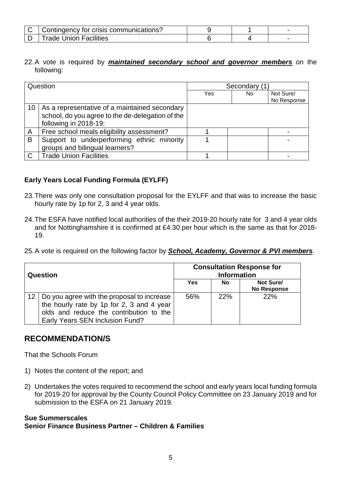| Contingency for crisis communications? |  |  |
|----------------------------------------|--|--|
| <b>Trade Union Facilities</b>          |  |  |

22. A vote is required by **maintained secondary school and governor members** on the following:

| Question     |                                                                                                                            | Secondary (1) |     |                          |  |
|--------------|----------------------------------------------------------------------------------------------------------------------------|---------------|-----|--------------------------|--|
|              |                                                                                                                            | Yes           | No. | Not Sure/<br>No Response |  |
| 10           | As a representative of a maintained secondary<br>school, do you agree to the de-delegation of the<br>following in 2018-19: |               |     |                          |  |
| $\mathsf{A}$ | Free school meals eligibility assessment?                                                                                  |               |     |                          |  |
| B            | Support to underperforming ethnic minority<br>groups and bilingual learners?                                               |               |     |                          |  |
| $\mathsf{C}$ | <b>Trade Union Facilities</b>                                                                                              |               |     |                          |  |

### **Early Years Local Funding Formula (EYLFF)**

- 23. There was only one consultation proposal for the EYLFF and that was to increase the basic hourly rate by 1p for 2, 3 and 4 year olds.
- 24. The ESFA have notified local authorities of the their 2019-20 hourly rate for 3 and 4 year olds and for Nottinghamshire it is confirmed at £4.30 per hour which is the same as that for 2018- 19.
- 25. A vote is required on the following factor by **School, Academy, Governor & PVI members**.

| Question          |                                                                                                                                                                       | <b>Consultation Response for</b><br><b>Information</b> |           |                                 |  |  |
|-------------------|-----------------------------------------------------------------------------------------------------------------------------------------------------------------------|--------------------------------------------------------|-----------|---------------------------------|--|--|
|                   |                                                                                                                                                                       | Yes                                                    | <b>No</b> | Not Sure/<br><b>No Response</b> |  |  |
| $12 \overline{ }$ | Do you agree with the proposal to increase<br>the hourly rate by 1p for 2, 3 and 4 year<br>olds and reduce the contribution to the<br>Early Years SEN Inclusion Fund? | 56%                                                    | 22%       | 22%                             |  |  |

## **RECOMMENDATION/S**

That the Schools Forum

- 1) Notes the content of the report; and
- 2) Undertakes the votes required to recommend the school and early years local funding formula for 2019-20 for approval by the County Council Policy Committee on 23 January 2019 and for submission to the ESFA on 21 January 2019.

#### **Sue Summerscales Senior Finance Business Partner – Children & Families**